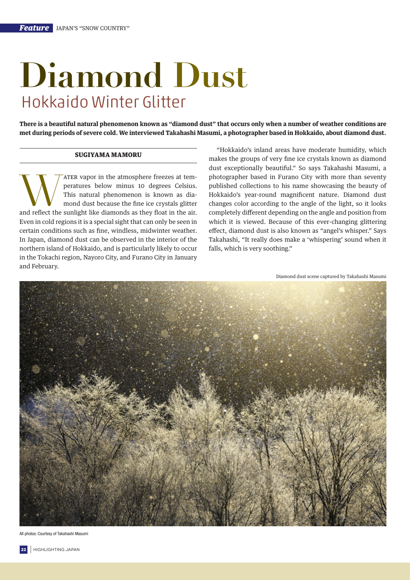## **Diamond Dust** Hokkaido Winter Glitter

**There is a beautiful natural phenomenon known as "diamond dust" that occurs only when a number of weather conditions are met during periods of severe cold. We interviewed Takahashi Masumi, a photographer based in Hokkaido, about diamond dust.**

## SUGIYAMA MAMORU

THER Vapor in the atmosphere freezes at tem-<br>peratures below minus 10 degrees Celsius.<br>This natural phenomenon is known as dia-<br>mond dust because the fine ice crystals glitter<br>and reflect the sunlight like diamonds as they peratures below minus 10 degrees Celsius. This natural phenomenon is known as diamond dust because the fine ice crystals glitter Even in cold regions it is a special sight that can only be seen in certain conditions such as fine, windless, midwinter weather. In Japan, diamond dust can be observed in the interior of the northern island of Hokkaido, and is particularly likely to occur in the Tokachi region, Nayoro City, and Furano City in January and February.

"Hokkaido's inland areas have moderate humidity, which makes the groups of very fine ice crystals known as diamond dust exceptionally beautiful." So says Takahashi Masumi, a photographer based in Furano City with more than seventy published collections to his name showcasing the beauty of Hokkaido's year-round magnificent nature. Diamond dust changes color according to the angle of the light, so it looks completely different depending on the angle and position from which it is viewed. Because of this ever-changing glittering effect, diamond dust is also known as "angel's whisper." Says Takahashi, "It really does make a 'whispering' sound when it falls, which is very soothing."

Diamond dust scene captured by Takahashi Masumi



All photos: Courtesy of Takahashi Masumi